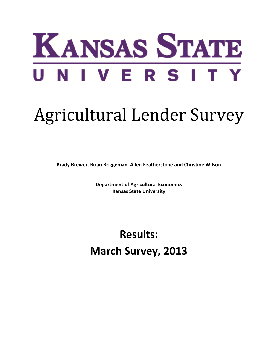

## Agricultural Lender Survey

**Brady Brewer, Brian Briggeman, Allen Featherstone and Christine Wilson**

**Department of Agricultural Economics Kansas State University**

**Results: March Survey, 2013**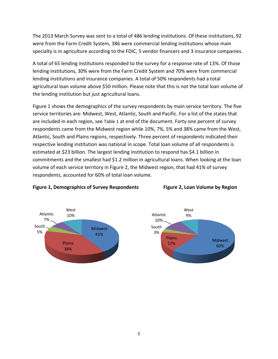The 2013 March Survey was sent to a total of 486 lending institutions. Of these institutions, 92 were from the Farm Credit System, 386 were commercial lending institutions whose main specialty is in agriculture according to the FDIC, 5 vendor financers and 3 insurance companies.

A total of 65 lending institutions responded to the survey for a response rate of 13%. Of those lending institutions, 30% were from the Farm Credit System and 70% were from commercial lending institutions and insurance companies. A total of 50% respondents had a total agricultural loan volume above \$50 million. Please note that this is not the total loan volume of the lending institution but just agricultural loans.

Figure 1 shows the demographics of the survey respondents by main service territory. The five service territories are: Midwest, West, Atlantic, South and Pacific. For a list of the states that are included in each region, see [Table 1](#page-10-0) at end of the document. Forty one percent of survey respondents came from the Midwest region while 10%, 7%, 5% and 38% came from the West, Atlantic, South and Plains regions, respectively. Three percent of respondents indicated their respective lending institution was national in scope. Total loan volume of all respondents is estimated at \$23 billion. The largest lending institution to respond has \$4.1 billion in commitments and the smallest had \$1.2 million in agricultural loans. When looking at the loan volume of each service territory in Figure 2, the Midwest region, that had 41% of survey respondents, accounted for 60% of total loan volume.



## **Figure 1, Demographics of Survey Respondents Figure 2, Loan Volume by Region**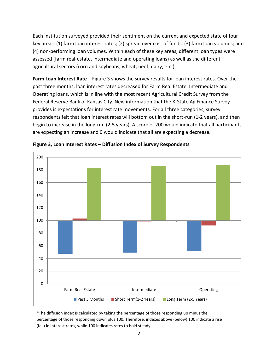Each institution surveyed provided their sentiment on the current and expected state of four key areas: (1) farm loan interest rates; (2) spread over cost of funds; (3) farm loan volumes; and (4) non-performing loan volumes. Within each of these key areas, different loan types were assessed (farm real-estate, intermediate and operating loans) as well as the different agricultural sectors (corn and soybeans, wheat, beef, dairy, etc.).

**Farm Loan Interest Rate** – [Figure 3](#page-2-0) shows the survey results for loan interest rates. Over the past three months, loan interest rates decreased for Farm Real Estate, Intermediate and Operating loans, which is in line with the most recent Agricultural Credit Survey from the Federal Reserve Bank of Kansas City. New information that the K-State Ag Finance Survey provides is expectations for interest rate movements. For all three categories, survey respondents felt that loan interest rates will bottom out in the short-run (1-2 years), and then begin to increase in the long-run (2-5 years). A score of 200 would indicate that all participants are expecting an increase and 0 would indicate that all are expecting a decrease.



<span id="page-2-0"></span>

\*The diffusion index is calculated by taking the percentage of those responding up minus the percentage of those responding down plus 100. Therefore, indexes above (below) 100 indicate a rise (fall) in interest rates, while 100 indicates rates to hold steady.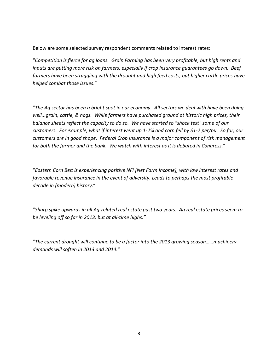Below are some selected survey respondent comments related to interest rates:

"*Competition is fierce for ag loans. Grain Farming has been very profitable, but high rents and inputs are putting more risk on farmers, especially if crop insurance guarantees go down. Beef farmers have been struggling with the drought and high feed costs, but higher cattle prices have helped combat those issues*."

"*The Ag sector has been a bright spot in our economy. All sectors we deal with have been doing well...grain, cattle, & hogs. While farmers have purchased ground at historic high prices, their balance sheets reflect the capacity to do so. We have started to "shock test" some of our customers. For example, what if interest went up 1-2% and corn fell by \$1-2 per/bu. So far, our customers are in good shape. Federal Crop Insurance is a major component of risk management for both the farmer and the bank. We watch with interest as it is debated in Congress.*"

"*Eastern Corn Belt is experiencing positive NFI [Net Farm Income], with low interest rates and favorable revenue insurance in the event of adversity. Leads to perhaps the most profitable decade in (modern) history.*"

"*Sharp spike upwards in all Ag-related real estate past two years. Ag real estate prices seem to be leveling off so far in 2013, but at all-time highs."*

"*The current drought will continue to be a factor into the 2013 growing season……machinery demands will soften in 2013 and 2014."*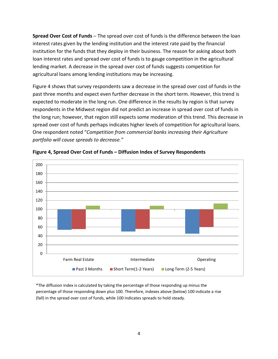**Spread Over Cost of Funds ─** The spread over cost of funds is the difference between the loan interest rates given by the lending institution and the interest rate paid by the financial institution for the funds that they deploy in their business. The reason for asking about both loan interest rates and spread over cost of funds is to gauge competition in the agricultural lending market. A decrease in the spread over cost of funds suggests competition for agricultural loans among lending institutions may be increasing.

Figure 4 shows that survey respondents saw a decrease in the spread over cost of funds in the past three months and expect even further decrease in the short term. However, this trend is expected to moderate in the long run. One difference in the results by region is that survey respondents in the Midwest region did not predict an increase in spread over cost of funds in the long run; however, that region still expects some moderation of this trend. This decrease in spread over cost of funds perhaps indicates higher levels of competition for agricultural loans. One respondent noted "*Competition from commercial banks increasing their Agriculture portfolio will cause spreads to decrease."*





\*The diffusion index is calculated by taking the percentage of those responding up minus the percentage of those responding down plus 100. Therefore, indexes above (below) 100 indicate a rise (fall) in the spread over cost of funds, while 100 indicates spreads to hold steady.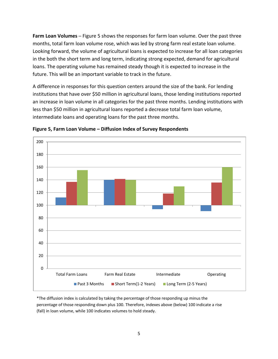**Farm Loan Volumes** – [Figure](#page-5-0) 5 shows the responses for farm loan volume. Over the past three months, total farm loan volume rose, which was led by strong farm real estate loan volume. Looking forward, the volume of agricultural loans is expected to increase for all loan categories in the both the short term and long term, indicating strong expected, demand for agricultural loans. The operating volume has remained steady though it is expected to increase in the future. This will be an important variable to track in the future.

A difference in responses for this question centers around the size of the bank. For lending institutions that have over \$50 million in agricultural loans, those lending institutions reported an increase in loan volume in all categories for the past three months. Lending institutions with less than \$50 million in agricultural loans reported a decrease total farm loan volume, intermediate loans and operating loans for the past three months.



<span id="page-5-0"></span>**Figure 5, Farm Loan Volume – Diffusion Index of Survey Respondents**

\*The diffusion index is calculated by taking the percentage of those responding up minus the percentage of those responding down plus 100. Therefore, indexes above (below) 100 indicate a rise (fall) in loan volume, while 100 indicates volumes to hold steady.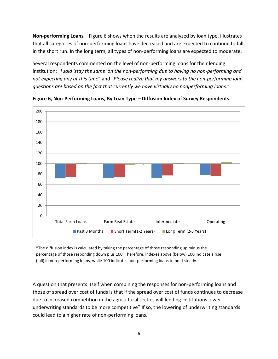**Non-performing Loans ─** Figure 6 shows when the results are analyzed by loan type, illustrates that all categories of non-performing loans have decreased and are expected to continue to fall in the short run. In the long term, all types of non-performing loans are expected to moderate.

Several respondents commented on the level of non-performing loans for their lending institution: "*I said 'stay the same' on the non-performing due to having no non-performing and not expecting any at this time*" and "*Please realize that my answers to the non-performing loan questions are based on the fact that currently we have virtually no nonperforming loans*."



**Figure 6, Non-Performing Loans, By Loan Type – Diffusion Index of Survey Respondents**

\*The diffusion index is calculated by taking the percentage of those responding up minus the percentage of those responding down plus 100. Therefore, indexes above (below) 100 indicate a rise (fall) in non-performing loans, while 100 indicates non-performing loans to hold steady.

A question that presents itself when combining the responses for non-performing loans and those of spread over cost of funds is that if the spread over cost of funds continues to decrease due to increased competition in the agricultural sector, will lending institutions lower underwriting standards to be more competitive? If so, the lowering of underwriting standards could lead to a higher rate of non-performing loans.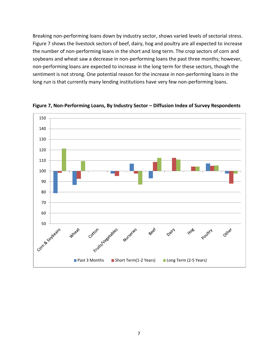Breaking non-performing loans down by industry sector, shows varied levels of sectorial stress. Figure 7 shows the livestock sectors of beef, dairy, hog and poultry are all expected to increase the number of non-performing loans in the short and long term. The crop sectors of corn and soybeans and wheat saw a decrease in non-performing loans the past three months; however, non-performing loans are expected to increase in the long term for these sectors, though the sentiment is not strong. One potential reason for the increase in non-performing loans in the long run is that currently many lending institutions have very few non-performing loans.



**Figure 7, Non-Performing Loans, By Industry Sector – Diffusion Index of Survey Respondents**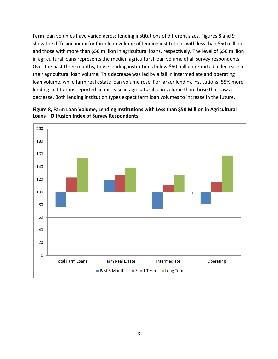Farm loan volumes have varied across lending institutions of different sizes. Figures 8 and 9 show the diffusion index for farm loan volume of lending institutions with less than \$50 million and those with more than \$50 million in agricultural loans, respectively. The level of \$50 million in agricultural loans represents the median agricultural loan volume of all survey respondents. Over the past three months, those lending institutions below \$50 million reported a decrease in their agricultural loan volume. This decrease was led by a fall in intermediate and operating loan volume, while farm real estate loan volume rose. For larger lending institutions, 55% more lending institutions reported an increase in agricultural loan volume than those that saw a decrease. Both lending institution types expect farm loan volumes to increase in the future.



**Figure 8, Farm Loan Volume, Lending Institutions with Less than \$50 Million in Agricultural Loans – Diffusion Index of Survey Respondents**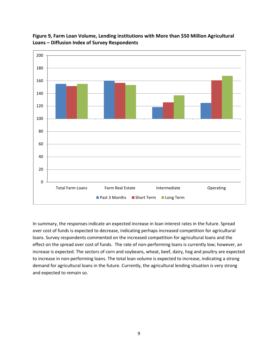



In summary, the responses indicate an expected increase in loan interest rates in the future. Spread over cost of funds is expected to decrease, indicating perhaps increased competition for agricultural loans. Survey respondents commented on the increased competition for agricultural loans and the effect on the spread over cost of funds. The rate of non-performing loans is currently low; however, an increase is expected. The sectors of corn and soybeans, wheat, beef, dairy, hog and poultry are expected to increase in non-performing loans. The total loan volume is expected to increase, indicating a strong demand for agricultural loans in the future. Currently, the agricultural lending situation is very strong and expected to remain so.